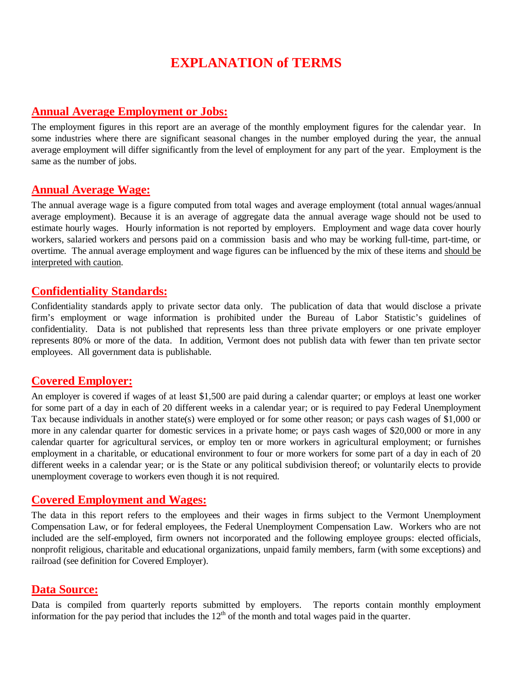# **EXPLANATION of TERMS**

#### **Annual Average Employment or Jobs:**

The employment figures in this report are an average of the monthly employment figures for the calendar year. In some industries where there are significant seasonal changes in the number employed during the year, the annual average employment will differ significantly from the level of employment for any part of the year. Employment is the same as the number of jobs.

## **Annual Average Wage:**

The annual average wage is a figure computed from total wages and average employment (total annual wages/annual average employment). Because it is an average of aggregate data the annual average wage should not be used to estimate hourly wages. Hourly information is not reported by employers. Employment and wage data cover hourly workers, salaried workers and persons paid on a commission basis and who may be working full-time, part-time, or overtime. The annual average employment and wage figures can be influenced by the mix of these items and should be interpreted with caution.

## **Confidentiality Standards:**

Confidentiality standards apply to private sector data only. The publication of data that would disclose a private firm's employment or wage information is prohibited under the Bureau of Labor Statistic's guidelines of confidentiality. Data is not published that represents less than three private employers or one private employer represents 80% or more of the data. In addition, Vermont does not publish data with fewer than ten private sector employees. All government data is publishable.

## **Covered Employer:**

An employer is covered if wages of at least \$1,500 are paid during a calendar quarter; or employs at least one worker for some part of a day in each of 20 different weeks in a calendar year; or is required to pay Federal Unemployment Tax because individuals in another state(s) were employed or for some other reason; or pays cash wages of \$1,000 or more in any calendar quarter for domestic services in a private home; or pays cash wages of \$20,000 or more in any calendar quarter for agricultural services, or employ ten or more workers in agricultural employment; or furnishes employment in a charitable, or educational environment to four or more workers for some part of a day in each of 20 different weeks in a calendar year; or is the State or any political subdivision thereof; or voluntarily elects to provide unemployment coverage to workers even though it is not required.

## **Covered Employment and Wages:**

The data in this report refers to the employees and their wages in firms subject to the Vermont Unemployment Compensation Law, or for federal employees, the Federal Unemployment Compensation Law. Workers who are not included are the self-employed, firm owners not incorporated and the following employee groups: elected officials, nonprofit religious, charitable and educational organizations, unpaid family members, farm (with some exceptions) and railroad (see definition for Covered Employer).

## **Data Source:**

Data is compiled from quarterly reports submitted by employers. The reports contain monthly employment information for the pay period that includes the  $12<sup>th</sup>$  of the month and total wages paid in the quarter.